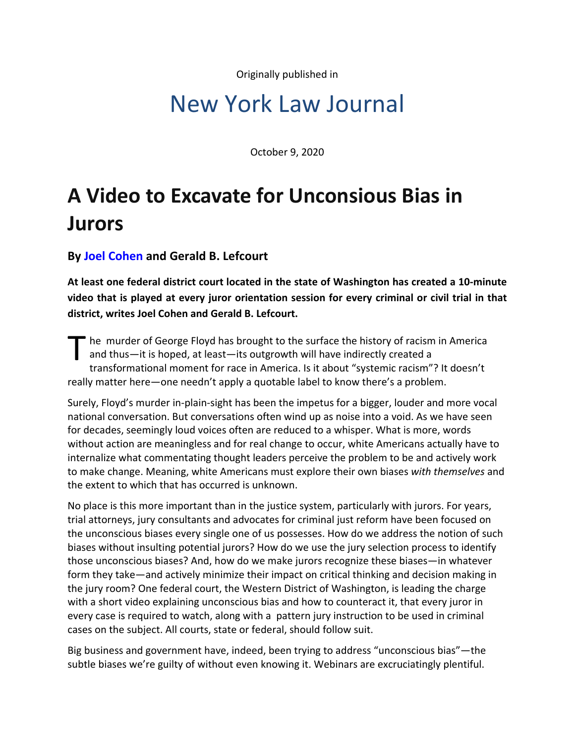Originally published in

## New York Law Journal

October 9, 2020

## **A Video to Excavate for Unconsious Bias in Jurors**

**By [Joel Cohen](https://www.stroock.com/people/JCohen) and Gerald B. Lefcourt**

**At least one federal district court located in the state of Washington has created a 10-minute video that is played at every juror orientation session for every criminal or civil trial in that district, writes Joel Cohen and Gerald B. Lefcourt.**

The murder of George Floyd has brought to the surface the history of racism in America<br>and thus—it is hoped, at least—its outgrowth will have indirectly created a<br>transformational moment for race in America. Is it about "s and thus—it is hoped, at least—its outgrowth will have indirectly created a transformational moment for race in America. Is it about "systemic racism"? It doesn't really matter here—one needn't apply a quotable label to know there's a problem.

Surely, Floyd's murder in-plain-sight has been the impetus for a bigger, louder and more vocal national conversation. But conversations often wind up as noise into a void. As we have seen for decades, seemingly loud voices often are reduced to a whisper. What is more, words without action are meaningless and for real change to occur, white Americans actually have to internalize what commentating thought leaders perceive the problem to be and actively work to make change. Meaning, white Americans must explore their own biases *with themselves* and the extent to which that has occurred is unknown.

No place is this more important than in the justice system, particularly with jurors. For years, trial attorneys, jury consultants and advocates for criminal just reform have been focused on the unconscious biases every single one of us possesses. How do we address the notion of such biases without insulting potential jurors? How do we use the jury selection process to identify those unconscious biases? And, how do we make jurors recognize these biases—in whatever form they take—and actively minimize their impact on critical thinking and decision making in the jury room? One federal court, the Western District of Washington, is leading the charge with a short video explaining unconscious bias and how to counteract it, that every juror in every case is required to watch, along with a pattern jury instruction to be used in criminal cases on the subject. All courts, state or federal, should follow suit.

Big business and government have, indeed, been trying to address "unconscious bias"—the subtle biases we're guilty of without even knowing it. Webinars are excruciatingly plentiful.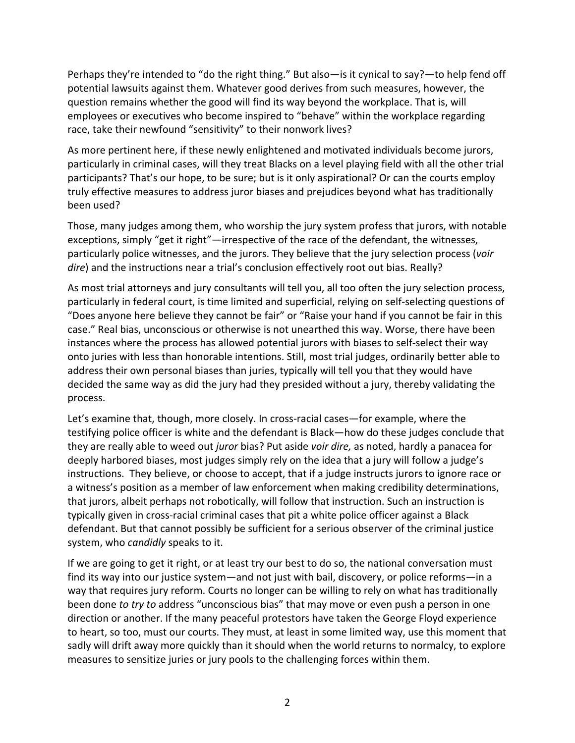Perhaps they're intended to "do the right thing." But also—is it cynical to say?—to help fend off potential lawsuits against them. Whatever good derives from such measures, however, the question remains whether the good will find its way beyond the workplace. That is, will employees or executives who become inspired to "behave" within the workplace regarding race, take their newfound "sensitivity" to their nonwork lives?

As more pertinent here, if these newly enlightened and motivated individuals become jurors, particularly in criminal cases, will they treat Blacks on a level playing field with all the other trial participants? That's our hope, to be sure; but is it only aspirational? Or can the courts employ truly effective measures to address juror biases and prejudices beyond what has traditionally been used?

Those, many judges among them, who worship the jury system profess that jurors, with notable exceptions, simply "get it right"—irrespective of the race of the defendant, the witnesses, particularly police witnesses, and the jurors. They believe that the jury selection process (*voir dire*) and the instructions near a trial's conclusion effectively root out bias. Really?

As most trial attorneys and jury consultants will tell you, all too often the jury selection process, particularly in federal court, is time limited and superficial, relying on self-selecting questions of "Does anyone here believe they cannot be fair" or "Raise your hand if you cannot be fair in this case." Real bias, unconscious or otherwise is not unearthed this way. Worse, there have been instances where the process has allowed potential jurors with biases to self-select their way onto juries with less than honorable intentions. Still, most trial judges, ordinarily better able to address their own personal biases than juries, typically will tell you that they would have decided the same way as did the jury had they presided without a jury, thereby validating the process.

Let's examine that, though, more closely. In cross-racial cases—for example, where the testifying police officer is white and the defendant is Black—how do these judges conclude that they are really able to weed out *juror* bias? Put aside *voir dire,* as noted, hardly a panacea for deeply harbored biases, most judges simply rely on the idea that a jury will follow a judge's instructions. They believe, or choose to accept, that if a judge instructs jurors to ignore race or a witness's position as a member of law enforcement when making credibility determinations, that jurors, albeit perhaps not robotically, will follow that instruction. Such an instruction is typically given in cross-racial criminal cases that pit a white police officer against a Black defendant. But that cannot possibly be sufficient for a serious observer of the criminal justice system, who *candidly* speaks to it.

If we are going to get it right, or at least try our best to do so, the national conversation must find its way into our justice system—and not just with bail, discovery, or police reforms—in a way that requires jury reform. Courts no longer can be willing to rely on what has traditionally been done *to try to* address "unconscious bias" that may move or even push a person in one direction or another. If the many peaceful protestors have taken the George Floyd experience to heart, so too, must our courts. They must, at least in some limited way, use this moment that sadly will drift away more quickly than it should when the world returns to normalcy, to explore measures to sensitize juries or jury pools to the challenging forces within them.